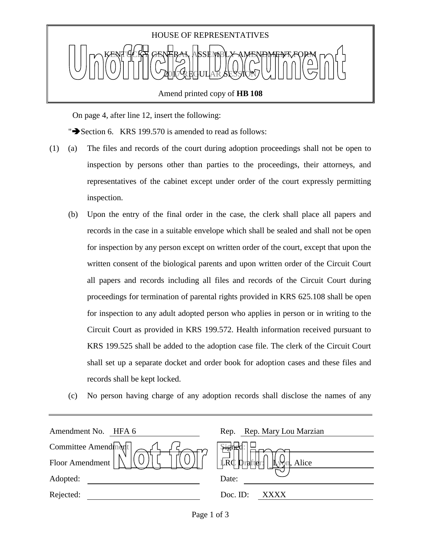

Amend printed copy of **HB 108**

On page 4, after line 12, insert the following:

" $\blacktriangleright$  Section 6. KRS 199.570 is amended to read as follows:

- (1) (a) The files and records of the court during adoption proceedings shall not be open to inspection by persons other than parties to the proceedings, their attorneys, and representatives of the cabinet except under order of the court expressly permitting inspection.
	- (b) Upon the entry of the final order in the case, the clerk shall place all papers and records in the case in a suitable envelope which shall be sealed and shall not be open for inspection by any person except on written order of the court, except that upon the written consent of the biological parents and upon written order of the Circuit Court all papers and records including all files and records of the Circuit Court during proceedings for termination of parental rights provided in KRS 625.108 shall be open for inspection to any adult adopted person who applies in person or in writing to the Circuit Court as provided in KRS 199.572. Health information received pursuant to KRS 199.525 shall be added to the adoption case file. The clerk of the Circuit Court shall set up a separate docket and order book for adoption cases and these files and records shall be kept locked.
	- (c) No person having charge of any adoption records shall disclose the names of any

| Amendment No.<br>HFA 6 | Rep. Rep. Mary Lou Marzian                      |
|------------------------|-------------------------------------------------|
| Committee Amendment    | \$ighe                                          |
| Floor Amendment        | $\overrightarrow{LRC}$ prafter:<br>∦^{<br>Alice |
| Adopted:               | Date:                                           |
| Rejected:              | Doc. ID:<br>XXXX                                |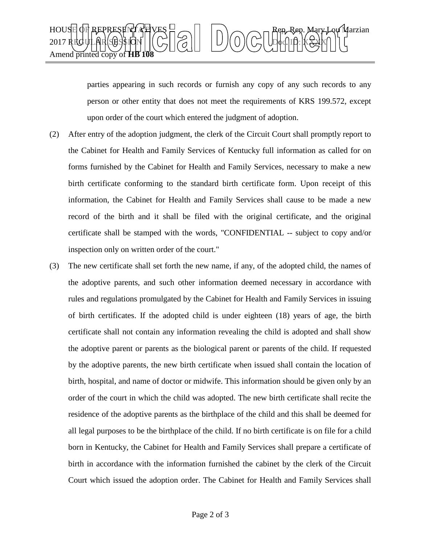

parties appearing in such records or furnish any copy of any such records to any person or other entity that does not meet the requirements of KRS 199.572, except upon order of the court which entered the judgment of adoption.

- (2) After entry of the adoption judgment, the clerk of the Circuit Court shall promptly report to the Cabinet for Health and Family Services of Kentucky full information as called for on forms furnished by the Cabinet for Health and Family Services, necessary to make a new birth certificate conforming to the standard birth certificate form. Upon receipt of this information, the Cabinet for Health and Family Services shall cause to be made a new record of the birth and it shall be filed with the original certificate, and the original certificate shall be stamped with the words, "CONFIDENTIAL -- subject to copy and/or inspection only on written order of the court."
- (3) The new certificate shall set forth the new name, if any, of the adopted child, the names of the adoptive parents, and such other information deemed necessary in accordance with rules and regulations promulgated by the Cabinet for Health and Family Services in issuing of birth certificates. If the adopted child is under eighteen (18) years of age, the birth certificate shall not contain any information revealing the child is adopted and shall show the adoptive parent or parents as the biological parent or parents of the child. If requested by the adoptive parents, the new birth certificate when issued shall contain the location of birth, hospital, and name of doctor or midwife. This information should be given only by an order of the court in which the child was adopted. The new birth certificate shall recite the residence of the adoptive parents as the birthplace of the child and this shall be deemed for all legal purposes to be the birthplace of the child. If no birth certificate is on file for a child born in Kentucky, the Cabinet for Health and Family Services shall prepare a certificate of birth in accordance with the information furnished the cabinet by the clerk of the Circuit Court which issued the adoption order. The Cabinet for Health and Family Services shall